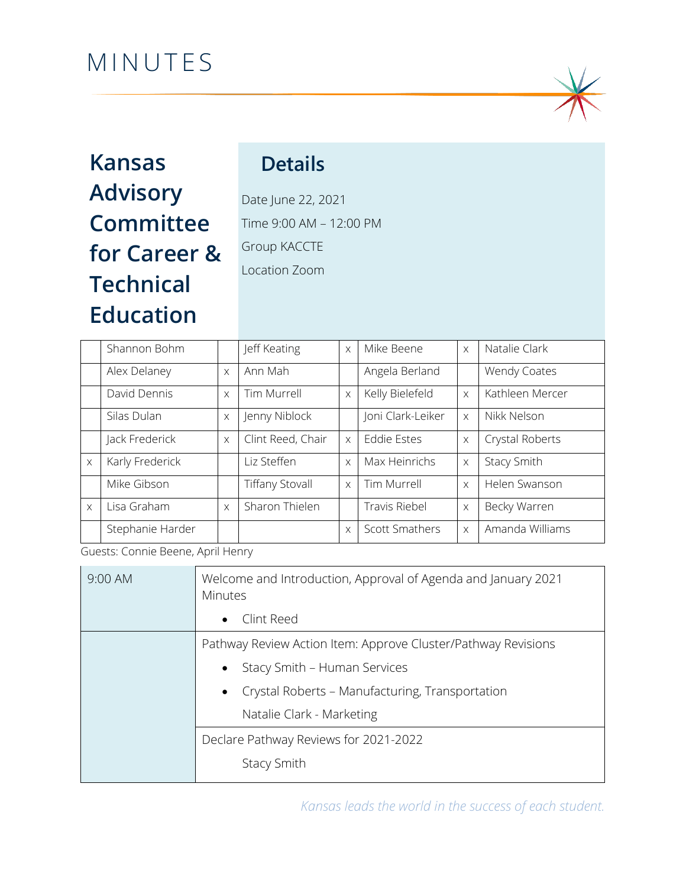# MINUTES



# **Kansas Advisory Committee for Career & Technical Education**

# **Details**

Date June 22, 2021 Time 9:00 AM – 12:00 PM Group KACCTE Location Zoom

|          | Shannon Bohm     |          | Jeff Keating           | $\times$ | Mike Beene            | $\times$ | Natalie Clark   |
|----------|------------------|----------|------------------------|----------|-----------------------|----------|-----------------|
|          | Alex Delaney     | $\times$ | Ann Mah                |          | Angela Berland        |          | Wendy Coates    |
|          | David Dennis     | $\times$ | Tim Murrell            | $\times$ | Kelly Bielefeld       | $\times$ | Kathleen Mercer |
|          | Silas Dulan      | $\times$ | Jenny Niblock          |          | Joni Clark-Leiker     | $\times$ | Nikk Nelson     |
|          | Jack Frederick   | $\times$ | Clint Reed, Chair      | $\times$ | <b>Eddie Estes</b>    | $\times$ | Crystal Roberts |
| $\times$ | Karly Frederick  |          | Liz Steffen            | $\times$ | Max Heinrichs         | $\times$ | Stacy Smith     |
|          | Mike Gibson      |          | <b>Tiffany Stovall</b> | $\times$ | Tim Murrell           | $\times$ | Helen Swanson   |
| $\times$ | Lisa Graham      | $\times$ | Sharon Thielen         |          | Travis Riebel         | $\times$ | Becky Warren    |
|          | Stephanie Harder |          |                        | $\times$ | <b>Scott Smathers</b> | $\times$ | Amanda Williams |

Guests: Connie Beene, April Henry

| $9:00$ AM | Welcome and Introduction, Approval of Agenda and January 2021<br>Minutes |  |  |
|-----------|--------------------------------------------------------------------------|--|--|
|           | Clint Reed<br>$\bullet$                                                  |  |  |
|           | Pathway Review Action Item: Approve Cluster/Pathway Revisions            |  |  |
|           | Stacy Smith - Human Services<br>$\bullet$                                |  |  |
|           | Crystal Roberts - Manufacturing, Transportation<br>$\bullet$             |  |  |
|           | Natalie Clark - Marketing                                                |  |  |
|           | Declare Pathway Reviews for 2021-2022                                    |  |  |
|           | <b>Stacy Smith</b>                                                       |  |  |

*Kansas leads the world in the success of each student.*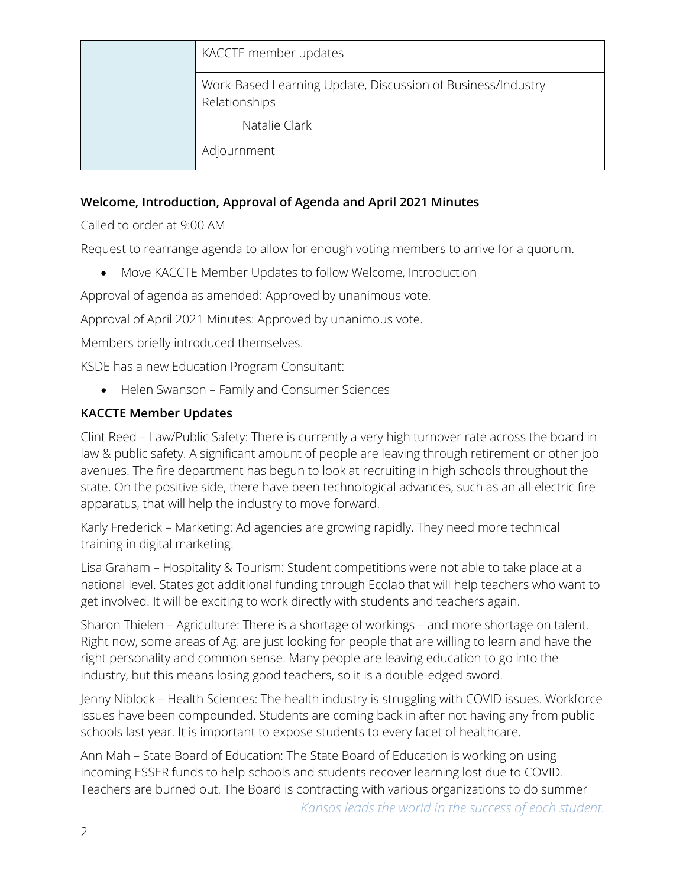| KACCTE member updates                                                        |
|------------------------------------------------------------------------------|
| Work-Based Learning Update, Discussion of Business/Industry<br>Relationships |
| Natalie Clark                                                                |
| Adjournment                                                                  |

#### **Welcome, Introduction, Approval of Agenda and April 2021 Minutes**

Called to order at 9:00 AM

Request to rearrange agenda to allow for enough voting members to arrive for a quorum.

• Move KACCTE Member Updates to follow Welcome, Introduction

Approval of agenda as amended: Approved by unanimous vote.

Approval of April 2021 Minutes: Approved by unanimous vote.

Members briefly introduced themselves.

KSDE has a new Education Program Consultant:

• Helen Swanson – Family and Consumer Sciences

### **KACCTE Member Updates**

Clint Reed – Law/Public Safety: There is currently a very high turnover rate across the board in law & public safety. A significant amount of people are leaving through retirement or other job avenues. The fire department has begun to look at recruiting in high schools throughout the state. On the positive side, there have been technological advances, such as an all-electric fire apparatus, that will help the industry to move forward.

Karly Frederick – Marketing: Ad agencies are growing rapidly. They need more technical training in digital marketing.

Lisa Graham – Hospitality & Tourism: Student competitions were not able to take place at a national level. States got additional funding through Ecolab that will help teachers who want to get involved. It will be exciting to work directly with students and teachers again.

Sharon Thielen – Agriculture: There is a shortage of workings – and more shortage on talent. Right now, some areas of Ag. are just looking for people that are willing to learn and have the right personality and common sense. Many people are leaving education to go into the industry, but this means losing good teachers, so it is a double-edged sword.

Jenny Niblock – Health Sciences: The health industry is struggling with COVID issues. Workforce issues have been compounded. Students are coming back in after not having any from public schools last year. It is important to expose students to every facet of healthcare.

Ann Mah – State Board of Education: The State Board of Education is working on using incoming ESSER funds to help schools and students recover learning lost due to COVID. Teachers are burned out. The Board is contracting with various organizations to do summer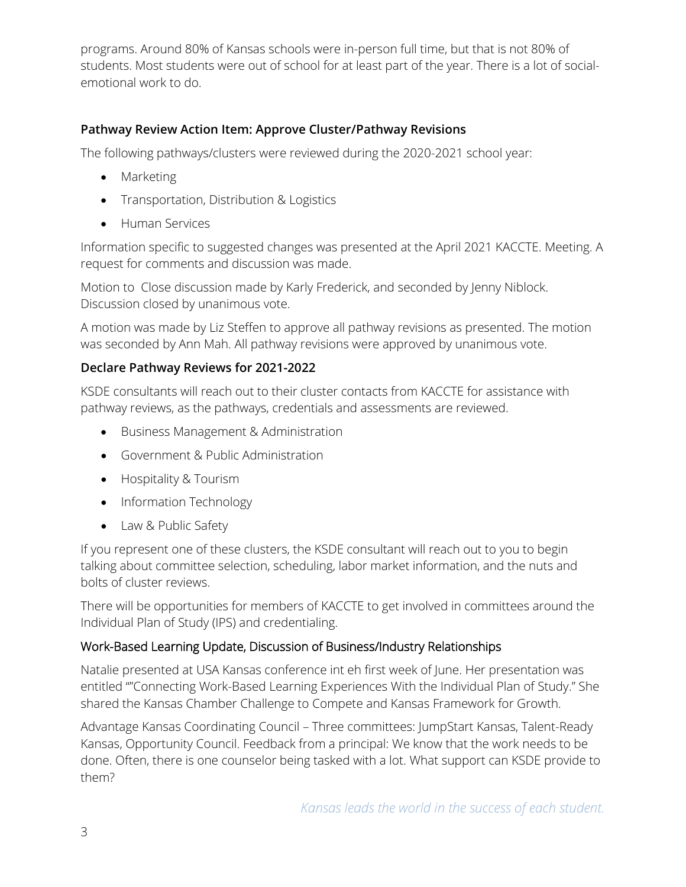programs. Around 80% of Kansas schools were in-person full time, but that is not 80% of students. Most students were out of school for at least part of the year. There is a lot of socialemotional work to do.

### **Pathway Review Action Item: Approve Cluster/Pathway Revisions**

The following pathways/clusters were reviewed during the 2020-2021 school year:

- Marketing
- Transportation, Distribution & Logistics
- Human Services

Information specific to suggested changes was presented at the April 2021 KACCTE. Meeting. A request for comments and discussion was made.

Motion to Close discussion made by Karly Frederick, and seconded by Jenny Niblock. Discussion closed by unanimous vote.

A motion was made by Liz Steffen to approve all pathway revisions as presented. The motion was seconded by Ann Mah. All pathway revisions were approved by unanimous vote.

## **Declare Pathway Reviews for 2021-2022**

KSDE consultants will reach out to their cluster contacts from KACCTE for assistance with pathway reviews, as the pathways, credentials and assessments are reviewed.

- Business Management & Administration
- Government & Public Administration
- Hospitality & Tourism
- Information Technology
- Law & Public Safety

If you represent one of these clusters, the KSDE consultant will reach out to you to begin talking about committee selection, scheduling, labor market information, and the nuts and bolts of cluster reviews.

There will be opportunities for members of KACCTE to get involved in committees around the Individual Plan of Study (IPS) and credentialing.

### Work-Based Learning Update, Discussion of Business/Industry Relationships

Natalie presented at USA Kansas conference int eh first week of June. Her presentation was entitled ""Connecting Work-Based Learning Experiences With the Individual Plan of Study." She shared the Kansas Chamber Challenge to Compete and Kansas Framework for Growth.

Advantage Kansas Coordinating Council – Three committees: JumpStart Kansas, Talent-Ready Kansas, Opportunity Council. Feedback from a principal: We know that the work needs to be done. Often, there is one counselor being tasked with a lot. What support can KSDE provide to them?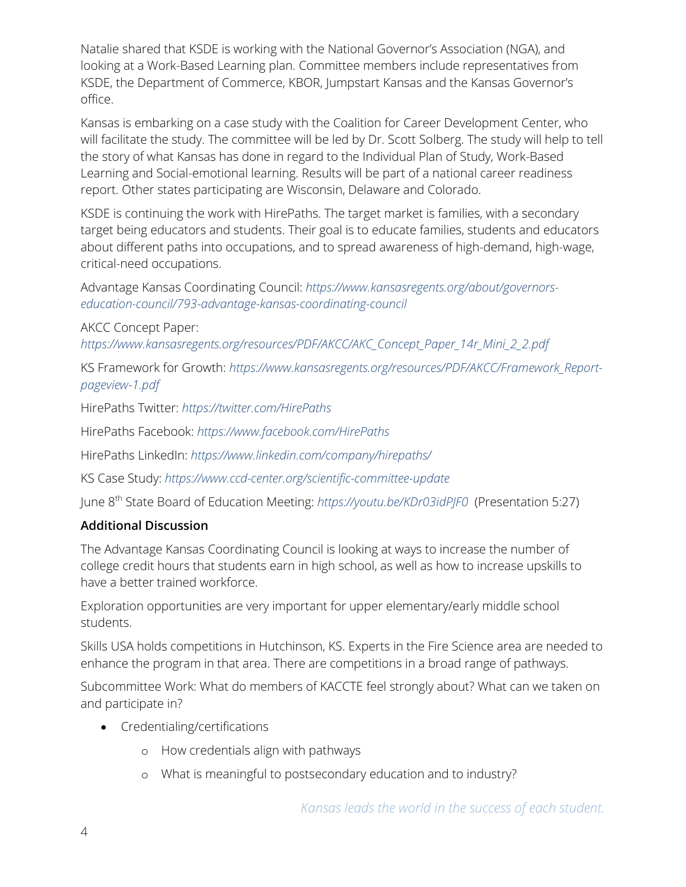Natalie shared that KSDE is working with the National Governor's Association (NGA), and looking at a Work-Based Learning plan. Committee members include representatives from KSDE, the Department of Commerce, KBOR, Jumpstart Kansas and the Kansas Governor's office.

Kansas is embarking on a case study with the Coalition for Career Development Center, who will facilitate the study. The committee will be led by Dr. Scott Solberg. The study will help to tell the story of what Kansas has done in regard to the Individual Plan of Study, Work-Based Learning and Social-emotional learning. Results will be part of a national career readiness report. Other states participating are Wisconsin, Delaware and Colorado.

KSDE is continuing the work with HirePaths. The target market is families, with a secondary target being educators and students. Their goal is to educate families, students and educators about different paths into occupations, and to spread awareness of high-demand, high-wage, critical-need occupations.

Advantage Kansas Coordinating Council: *[https://www.kansasregents.org/about/governors](https://www.kansasregents.org/about/governors-education-council/793-advantage-kansas-coordinating-council)[education-council/793-advantage-kansas-coordinating-council](https://www.kansasregents.org/about/governors-education-council/793-advantage-kansas-coordinating-council)*

AKCC Concept Paper:

*[https://www.kansasregents.org/resources/PDF/AKCC/AKC\\_Concept\\_Paper\\_14r\\_Mini\\_2\\_2.pdf](https://www.kansasregents.org/resources/PDF/AKCC/AKC_Concept_Paper_14r_Mini_2_2.pdf)*

KS Framework for Growth: *[https://www.kansasregents.org/resources/PDF/AKCC/Framework\\_Report](https://www.kansasregents.org/resources/PDF/AKCC/Framework_Report-pageview-1.pdf)[pageview-1.pdf](https://www.kansasregents.org/resources/PDF/AKCC/Framework_Report-pageview-1.pdf)*

HirePaths Twitter: *<https://twitter.com/HirePaths>*

HirePaths Facebook: *<https://www.facebook.com/HirePaths>*

HirePaths LinkedIn: *<https://www.linkedin.com/company/hirepaths/>*

KS Case Study: *<https://www.ccd-center.org/scientific-committee-update>*

June 8th State Board of Education Meeting: *<https://youtu.be/KDr03idPJF0>* (Presentation 5:27)

#### **Additional Discussion**

The Advantage Kansas Coordinating Council is looking at ways to increase the number of college credit hours that students earn in high school, as well as how to increase upskills to have a better trained workforce.

Exploration opportunities are very important for upper elementary/early middle school students.

Skills USA holds competitions in Hutchinson, KS. Experts in the Fire Science area are needed to enhance the program in that area. There are competitions in a broad range of pathways.

Subcommittee Work: What do members of KACCTE feel strongly about? What can we taken on and participate in?

- Credentialing/certifications
	- o How credentials align with pathways
	- o What is meaningful to postsecondary education and to industry?